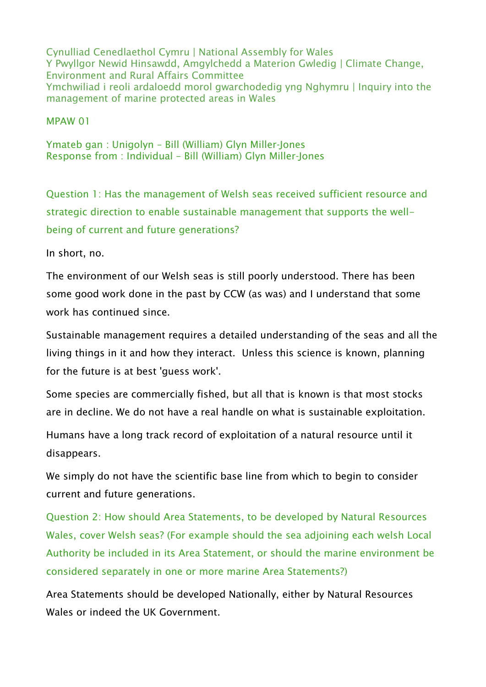Cynulliad Cenedlaethol Cymru | National Assembly for Wales Y Pwyllgor Newid Hinsawdd, Amgylchedd a Materion Gwledig | Climate Change, Environment and Rural Affairs Committee Ymchwiliad i reoli ardaloedd morol gwarchodedig yng Nghymru | Inquiry into the management of marine protected areas in Wales

MPAW 01

Ymateb gan : Unigolyn – Bill (William) Glyn Miller-Jones Response from : Individual – Bill (William) Glyn Miller-Jones

Question 1: Has the management of Welsh seas received sufficient resource and strategic direction to enable sustainable management that supports the wellbeing of current and future generations?

In short, no.

The environment of our Welsh seas is still poorly understood. There has been some good work done in the past by CCW (as was) and I understand that some work has continued since.

Sustainable management requires a detailed understanding of the seas and all the living things in it and how they interact. Unless this science is known, planning for the future is at best 'guess work'.

Some species are commercially fished, but all that is known is that most stocks are in decline. We do not have a real handle on what is sustainable exploitation.

Humans have a long track record of exploitation of a natural resource until it disappears.

We simply do not have the scientific base line from which to begin to consider current and future generations.

Question 2: How should Area Statements, to be developed by Natural Resources Wales, cover Welsh seas? (For example should the sea adjoining each welsh Local Authority be included in its Area Statement, or should the marine environment be considered separately in one or more marine Area Statements?)

Area Statements should be developed Nationally, either by Natural Resources Wales or indeed the UK Government.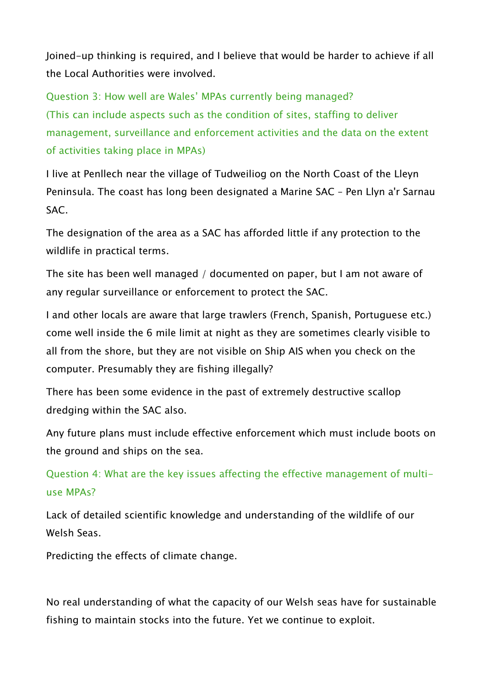Joined-up thinking is required, and I believe that would be harder to achieve if all the Local Authorities were involved.

Question 3: How well are Wales' MPAs currently being managed? (This can include aspects such as the condition of sites, staffing to deliver management, surveillance and enforcement activities and the data on the extent of activities taking place in MPAs)

I live at Penllech near the village of Tudweiliog on the North Coast of the Lleyn Peninsula. The coast has long been designated a Marine SAC – Pen Llyn a'r Sarnau SAC.

The designation of the area as a SAC has afforded little if any protection to the wildlife in practical terms.

The site has been well managed / documented on paper, but I am not aware of any regular surveillance or enforcement to protect the SAC.

I and other locals are aware that large trawlers (French, Spanish, Portuguese etc.) come well inside the 6 mile limit at night as they are sometimes clearly visible to all from the shore, but they are not visible on Ship AIS when you check on the computer. Presumably they are fishing illegally?

There has been some evidence in the past of extremely destructive scallop dredging within the SAC also.

Any future plans must include effective enforcement which must include boots on the ground and ships on the sea.

Question 4: What are the key issues affecting the effective management of multiuse MPAs?

Lack of detailed scientific knowledge and understanding of the wildlife of our Welsh Seas.

Predicting the effects of climate change.

No real understanding of what the capacity of our Welsh seas have for sustainable fishing to maintain stocks into the future. Yet we continue to exploit.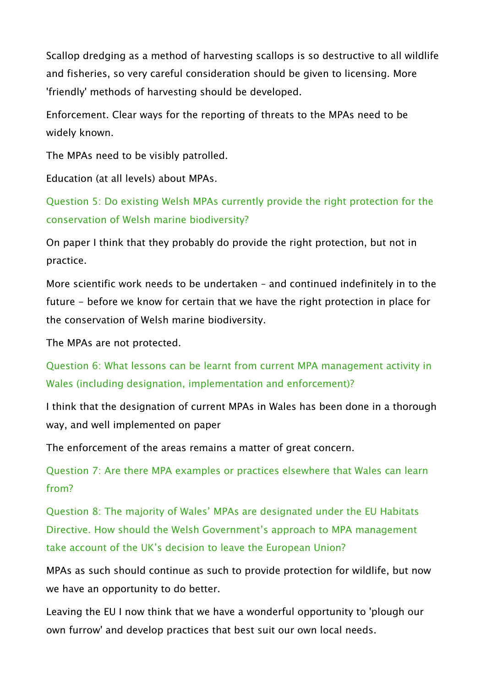Scallop dredging as a method of harvesting scallops is so destructive to all wildlife and fisheries, so very careful consideration should be given to licensing. More 'friendly' methods of harvesting should be developed.

Enforcement. Clear ways for the reporting of threats to the MPAs need to be widely known.

The MPAs need to be visibly patrolled.

Education (at all levels) about MPAs.

Question 5: Do existing Welsh MPAs currently provide the right protection for the conservation of Welsh marine biodiversity?

On paper I think that they probably do provide the right protection, but not in practice.

More scientific work needs to be undertaken – and continued indefinitely in to the future - before we know for certain that we have the right protection in place for the conservation of Welsh marine biodiversity.

The MPAs are not protected.

Question 6: What lessons can be learnt from current MPA management activity in Wales (including designation, implementation and enforcement)?

I think that the designation of current MPAs in Wales has been done in a thorough way, and well implemented on paper

The enforcement of the areas remains a matter of great concern.

Question 7: Are there MPA examples or practices elsewhere that Wales can learn from?

Question 8: The majority of Wales' MPAs are designated under the EU Habitats Directive. How should the Welsh Government's approach to MPA management take account of the UK's decision to leave the European Union?

MPAs as such should continue as such to provide protection for wildlife, but now we have an opportunity to do better.

Leaving the EU I now think that we have a wonderful opportunity to 'plough our own furrow' and develop practices that best suit our own local needs.